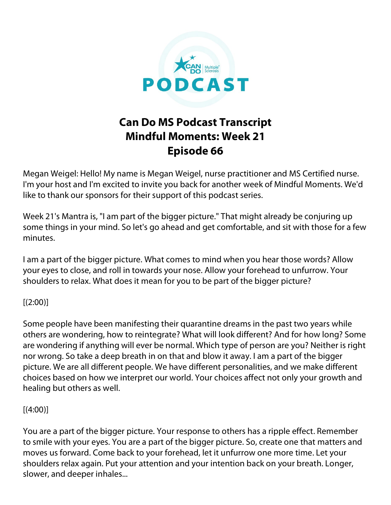

## **Can Do MS Podcast Transcript Mindful Moments: Week 21 Episode 66**

Megan Weigel: Hello! My name is Megan Weigel, nurse practitioner and MS Certified nurse. I'm your host and I'm excited to invite you back for another week of Mindful Moments. We'd like to thank our sponsors for their support of this podcast series.

Week 21's Mantra is, "I am part of the bigger picture." That might already be conjuring up some things in your mind. So let's go ahead and get comfortable, and sit with those for a few minutes.

I am a part of the bigger picture. What comes to mind when you hear those words? Allow your eyes to close, and roll in towards your nose. Allow your forehead to unfurrow. Your shoulders to relax. What does it mean for you to be part of the bigger picture?

## $[(2:00)]$

Some people have been manifesting their quarantine dreams in the past two years while others are wondering, how to reintegrate? What will look different? And for how long? Some are wondering if anything will ever be normal. Which type of person are you? Neither is right nor wrong. So take a deep breath in on that and blow it away. I am a part of the bigger picture. We are all different people. We have different personalities, and we make different choices based on how we interpret our world. Your choices affect not only your growth and healing but others as well.

## $[(4:00)]$

You are a part of the bigger picture. Your response to others has a ripple effect. Remember to smile with your eyes. You are a part of the bigger picture. So, create one that matters and moves us forward. Come back to your forehead, let it unfurrow one more time. Let your shoulders relax again. Put your attention and your intention back on your breath. Longer, slower, and deeper inhales...